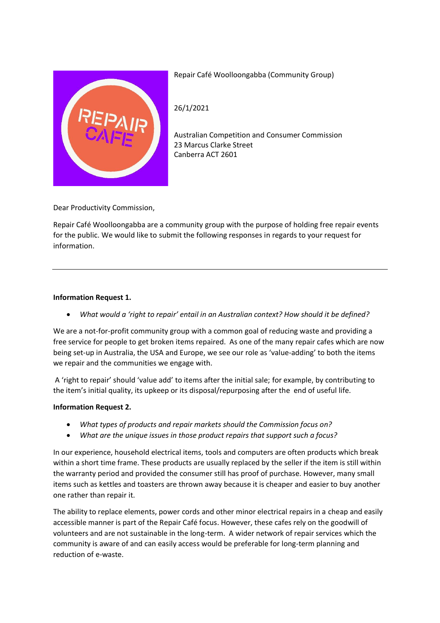

Repair Café Woolloongabba (Community Group)

26/1/2021

Australian Competition and Consumer Commission 23 Marcus Clarke Street Canberra ACT 2601

Dear Productivity Commission,

Repair Café Woolloongabba are a community group with the purpose of holding free repair events for the public. We would like to submit the following responses in regards to your request for information.

# **Information Request 1.**

• *What would a 'right to repair' entail in an Australian context? How should it be defined?*

We are a not-for-profit community group with a common goal of reducing waste and providing a free service for people to get broken items repaired. As one of the many repair cafes which are now being set-up in Australia, the USA and Europe, we see our role as 'value-adding' to both the items we repair and the communities we engage with.

A 'right to repair' should 'value add' to items after the initial sale; for example, by contributing to the item's initial quality, its upkeep or its disposal/repurposing after the end of useful life.

## **Information Request 2.**

- *What types of products and repair markets should the Commission focus on?*
- *What are the unique issues in those product repairs that support such a focus?*

In our experience, household electrical items, tools and computers are often products which break within a short time frame. These products are usually replaced by the seller if the item is still within the warranty period and provided the consumer still has proof of purchase. However, many small items such as kettles and toasters are thrown away because it is cheaper and easier to buy another one rather than repair it.

The ability to replace elements, power cords and other minor electrical repairs in a cheap and easily accessible manner is part of the Repair Café focus. However, these cafes rely on the goodwill of volunteers and are not sustainable in the long-term. A wider network of repair services which the community is aware of and can easily access would be preferable for long-term planning and reduction of e-waste.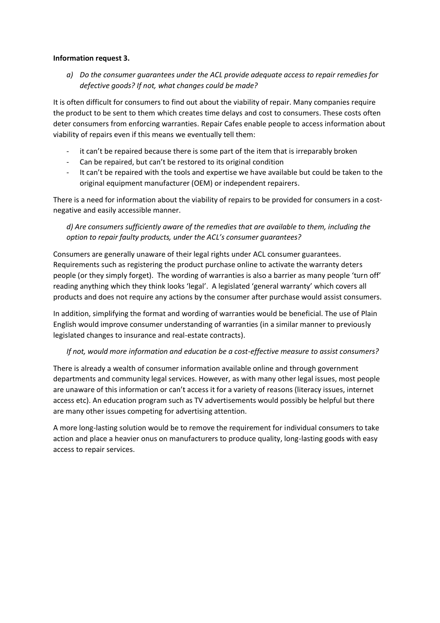### **Information request 3.**

*a) Do the consumer guarantees under the ACL provide adequate access to repair remedies for defective goods? If not, what changes could be made?*

It is often difficult for consumers to find out about the viability of repair. Many companies require the product to be sent to them which creates time delays and cost to consumers. These costs often deter consumers from enforcing warranties. Repair Cafes enable people to access information about viability of repairs even if this means we eventually tell them:

- it can't be repaired because there is some part of the item that is irreparably broken
- Can be repaired, but can't be restored to its original condition
- It can't be repaired with the tools and expertise we have available but could be taken to the original equipment manufacturer (OEM) or independent repairers.

There is a need for information about the viability of repairs to be provided for consumers in a costnegative and easily accessible manner.

*d) Are consumers sufficiently aware of the remedies that are available to them, including the option to repair faulty products, under the ACL's consumer guarantees?*

Consumers are generally unaware of their legal rights under ACL consumer guarantees. Requirements such as registering the product purchase online to activate the warranty deters people (or they simply forget). The wording of warranties is also a barrier as many people 'turn off' reading anything which they think looks 'legal'. A legislated 'general warranty' which covers all products and does not require any actions by the consumer after purchase would assist consumers.

In addition, simplifying the format and wording of warranties would be beneficial. The use of Plain English would improve consumer understanding of warranties (in a similar manner to previously legislated changes to insurance and real-estate contracts).

## *If not, would more information and education be a cost-effective measure to assist consumers?*

There is already a wealth of consumer information available online and through government departments and community legal services. However, as with many other legal issues, most people are unaware of this information or can't access it for a variety of reasons (literacy issues, internet access etc). An education program such as TV advertisements would possibly be helpful but there are many other issues competing for advertising attention.

A more long-lasting solution would be to remove the requirement for individual consumers to take action and place a heavier onus on manufacturers to produce quality, long-lasting goods with easy access to repair services.